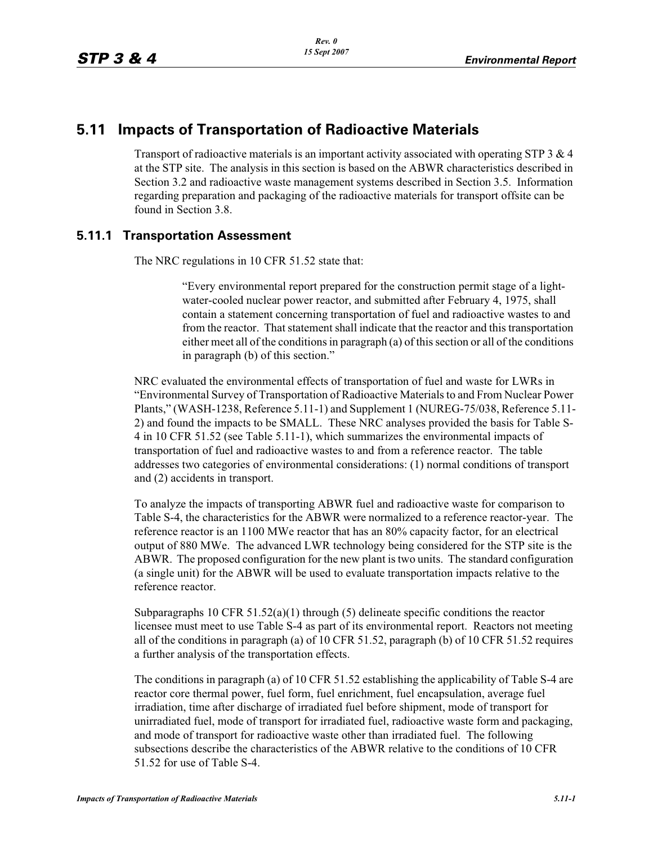# **5.11 Impacts of Transportation of Radioactive Materials**

Transport of radioactive materials is an important activity associated with operating STP  $3 \& 4$ at the STP site. The analysis in this section is based on the ABWR characteristics described in Section 3.2 and radioactive waste management systems described in Section 3.5. Information regarding preparation and packaging of the radioactive materials for transport offsite can be found in Section 3.8.

## **5.11.1 Transportation Assessment**

The NRC regulations in 10 CFR 51.52 state that:

"Every environmental report prepared for the construction permit stage of a lightwater-cooled nuclear power reactor, and submitted after February 4, 1975, shall contain a statement concerning transportation of fuel and radioactive wastes to and from the reactor. That statement shall indicate that the reactor and this transportation either meet all of the conditions in paragraph (a) of this section or all of the conditions in paragraph (b) of this section."

NRC evaluated the environmental effects of transportation of fuel and waste for LWRs in "Environmental Survey of Transportation of Radioactive Materials to and From Nuclear Power Plants," (WASH-1238, Reference 5.11-1) and Supplement 1 (NUREG-75/038, Reference 5.11- 2) and found the impacts to be SMALL. These NRC analyses provided the basis for Table S-4 in 10 CFR 51.52 (see Table 5.11-1), which summarizes the environmental impacts of transportation of fuel and radioactive wastes to and from a reference reactor. The table addresses two categories of environmental considerations: (1) normal conditions of transport and (2) accidents in transport.

To analyze the impacts of transporting ABWR fuel and radioactive waste for comparison to Table S-4, the characteristics for the ABWR were normalized to a reference reactor-year. The reference reactor is an 1100 MWe reactor that has an 80% capacity factor, for an electrical output of 880 MWe. The advanced LWR technology being considered for the STP site is the ABWR. The proposed configuration for the new plant is two units. The standard configuration (a single unit) for the ABWR will be used to evaluate transportation impacts relative to the reference reactor.

Subparagraphs 10 CFR  $51.52(a)(1)$  through (5) delineate specific conditions the reactor licensee must meet to use Table S-4 as part of its environmental report. Reactors not meeting all of the conditions in paragraph (a) of 10 CFR 51.52, paragraph (b) of 10 CFR 51.52 requires a further analysis of the transportation effects.

The conditions in paragraph (a) of 10 CFR 51.52 establishing the applicability of Table S-4 are reactor core thermal power, fuel form, fuel enrichment, fuel encapsulation, average fuel irradiation, time after discharge of irradiated fuel before shipment, mode of transport for unirradiated fuel, mode of transport for irradiated fuel, radioactive waste form and packaging, and mode of transport for radioactive waste other than irradiated fuel. The following subsections describe the characteristics of the ABWR relative to the conditions of 10 CFR 51.52 for use of Table S-4.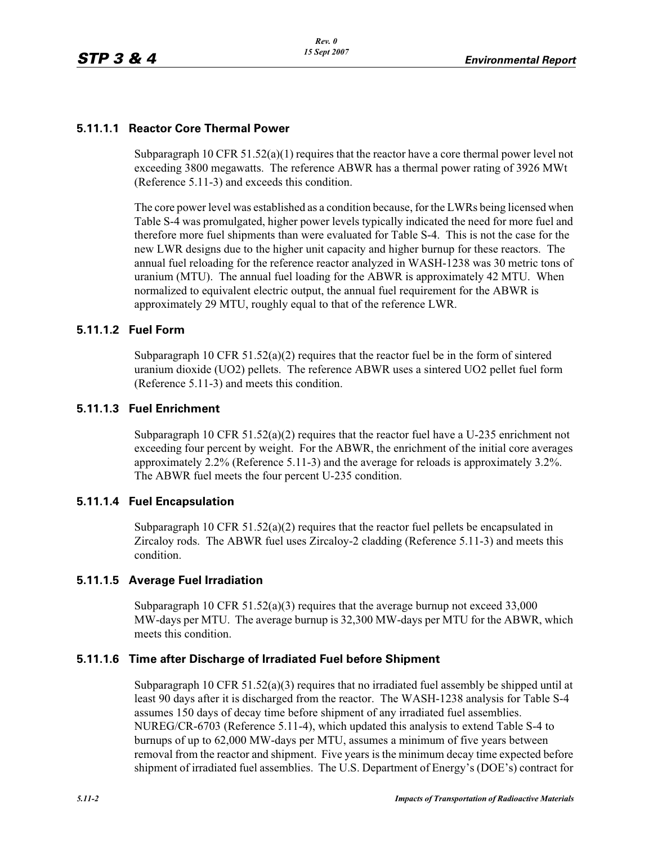## **5.11.1.1 Reactor Core Thermal Power**

Subparagraph 10 CFR  $51.52(a)(1)$  requires that the reactor have a core thermal power level not exceeding 3800 megawatts. The reference ABWR has a thermal power rating of 3926 MWt (Reference 5.11-3) and exceeds this condition.

The core power level was established as a condition because, for the LWRs being licensed when Table S-4 was promulgated, higher power levels typically indicated the need for more fuel and therefore more fuel shipments than were evaluated for Table S-4. This is not the case for the new LWR designs due to the higher unit capacity and higher burnup for these reactors. The annual fuel reloading for the reference reactor analyzed in WASH-1238 was 30 metric tons of uranium (MTU). The annual fuel loading for the ABWR is approximately 42 MTU. When normalized to equivalent electric output, the annual fuel requirement for the ABWR is approximately 29 MTU, roughly equal to that of the reference LWR.

#### **5.11.1.2 Fuel Form**

Subparagraph 10 CFR  $51.52(a)(2)$  requires that the reactor fuel be in the form of sintered uranium dioxide (UO2) pellets. The reference ABWR uses a sintered UO2 pellet fuel form (Reference 5.11-3) and meets this condition.

#### **5.11.1.3 Fuel Enrichment**

Subparagraph 10 CFR 51.52(a)(2) requires that the reactor fuel have a U-235 enrichment not exceeding four percent by weight. For the ABWR, the enrichment of the initial core averages approximately 2.2% (Reference 5.11-3) and the average for reloads is approximately 3.2%. The ABWR fuel meets the four percent U-235 condition.

#### **5.11.1.4 Fuel Encapsulation**

Subparagraph 10 CFR  $51.52(a)(2)$  requires that the reactor fuel pellets be encapsulated in Zircaloy rods. The ABWR fuel uses Zircaloy-2 cladding (Reference 5.11-3) and meets this condition.

#### **5.11.1.5 Average Fuel Irradiation**

Subparagraph 10 CFR 51.52(a)(3) requires that the average burnup not exceed 33,000 MW-days per MTU. The average burnup is 32,300 MW-days per MTU for the ABWR, which meets this condition.

#### **5.11.1.6 Time after Discharge of Irradiated Fuel before Shipment**

Subparagraph 10 CFR 51.52(a)(3) requires that no irradiated fuel assembly be shipped until at least 90 days after it is discharged from the reactor. The WASH-1238 analysis for Table S-4 assumes 150 days of decay time before shipment of any irradiated fuel assemblies. NUREG/CR-6703 (Reference 5.11-4), which updated this analysis to extend Table S-4 to burnups of up to 62,000 MW-days per MTU, assumes a minimum of five years between removal from the reactor and shipment. Five years is the minimum decay time expected before shipment of irradiated fuel assemblies. The U.S. Department of Energy's (DOE's) contract for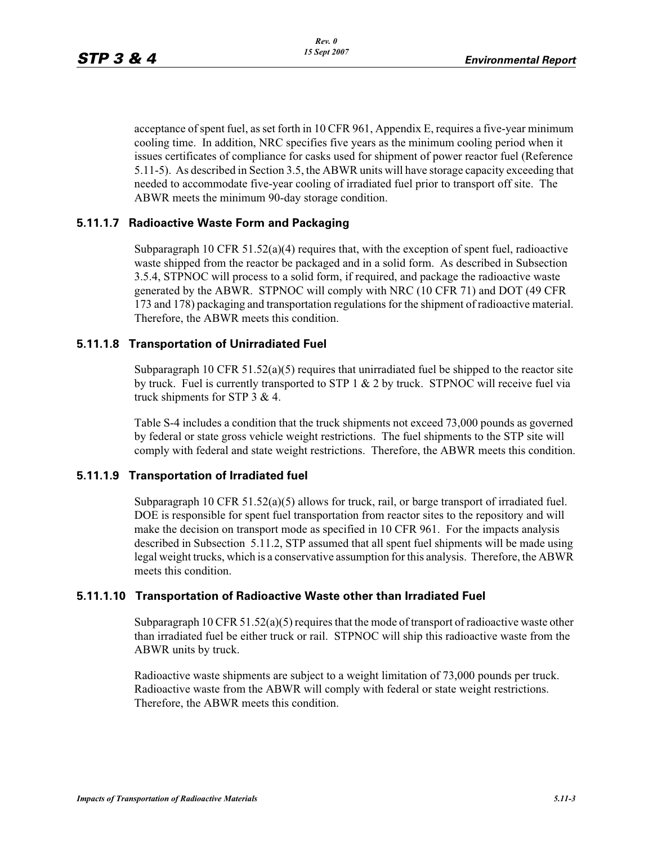acceptance of spent fuel, as set forth in 10 CFR 961, Appendix E, requires a five-year minimum cooling time. In addition, NRC specifies five years as the minimum cooling period when it issues certificates of compliance for casks used for shipment of power reactor fuel (Reference 5.11-5). As described in Section 3.5, the ABWR units will have storage capacity exceeding that needed to accommodate five-year cooling of irradiated fuel prior to transport off site. The ABWR meets the minimum 90-day storage condition.

## **5.11.1.7 Radioactive Waste Form and Packaging**

Subparagraph 10 CFR 51.52(a)(4) requires that, with the exception of spent fuel, radioactive waste shipped from the reactor be packaged and in a solid form. As described in Subsection 3.5.4, STPNOC will process to a solid form, if required, and package the radioactive waste generated by the ABWR. STPNOC will comply with NRC (10 CFR 71) and DOT (49 CFR 173 and 178) packaging and transportation regulations for the shipment of radioactive material. Therefore, the ABWR meets this condition.

#### **5.11.1.8 Transportation of Unirradiated Fuel**

Subparagraph 10 CFR 51.52(a)(5) requires that unirradiated fuel be shipped to the reactor site by truck. Fuel is currently transported to STP  $1 \& 2$  by truck. STPNOC will receive fuel via truck shipments for STP 3 & 4.

Table S-4 includes a condition that the truck shipments not exceed 73,000 pounds as governed by federal or state gross vehicle weight restrictions. The fuel shipments to the STP site will comply with federal and state weight restrictions. Therefore, the ABWR meets this condition.

#### **5.11.1.9 Transportation of Irradiated fuel**

Subparagraph 10 CFR 51.52(a)(5) allows for truck, rail, or barge transport of irradiated fuel. DOE is responsible for spent fuel transportation from reactor sites to the repository and will make the decision on transport mode as specified in 10 CFR 961. For the impacts analysis described in Subsection 5.11.2, STP assumed that all spent fuel shipments will be made using legal weight trucks, which is a conservative assumption for this analysis. Therefore, the ABWR meets this condition.

#### **5.11.1.10 Transportation of Radioactive Waste other than Irradiated Fuel**

Subparagraph 10 CFR  $51.52(a)(5)$  requires that the mode of transport of radioactive waste other than irradiated fuel be either truck or rail. STPNOC will ship this radioactive waste from the ABWR units by truck.

Radioactive waste shipments are subject to a weight limitation of 73,000 pounds per truck. Radioactive waste from the ABWR will comply with federal or state weight restrictions. Therefore, the ABWR meets this condition.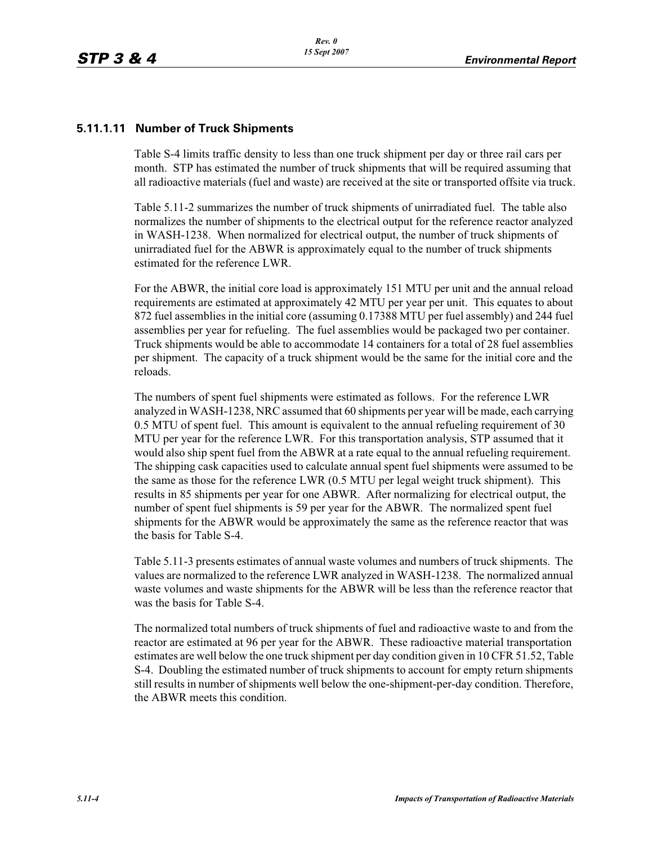#### **5.11.1.11 Number of Truck Shipments**

Table S-4 limits traffic density to less than one truck shipment per day or three rail cars per month. STP has estimated the number of truck shipments that will be required assuming that all radioactive materials (fuel and waste) are received at the site or transported offsite via truck.

Table 5.11-2 summarizes the number of truck shipments of unirradiated fuel. The table also normalizes the number of shipments to the electrical output for the reference reactor analyzed in WASH-1238. When normalized for electrical output, the number of truck shipments of unirradiated fuel for the ABWR is approximately equal to the number of truck shipments estimated for the reference LWR.

For the ABWR, the initial core load is approximately 151 MTU per unit and the annual reload requirements are estimated at approximately 42 MTU per year per unit. This equates to about 872 fuel assemblies in the initial core (assuming 0.17388 MTU per fuel assembly) and 244 fuel assemblies per year for refueling. The fuel assemblies would be packaged two per container. Truck shipments would be able to accommodate 14 containers for a total of 28 fuel assemblies per shipment. The capacity of a truck shipment would be the same for the initial core and the reloads.

The numbers of spent fuel shipments were estimated as follows. For the reference LWR analyzed in WASH-1238, NRC assumed that 60 shipments per year will be made, each carrying 0.5 MTU of spent fuel. This amount is equivalent to the annual refueling requirement of 30 MTU per year for the reference LWR. For this transportation analysis, STP assumed that it would also ship spent fuel from the ABWR at a rate equal to the annual refueling requirement. The shipping cask capacities used to calculate annual spent fuel shipments were assumed to be the same as those for the reference LWR (0.5 MTU per legal weight truck shipment). This results in 85 shipments per year for one ABWR. After normalizing for electrical output, the number of spent fuel shipments is 59 per year for the ABWR. The normalized spent fuel shipments for the ABWR would be approximately the same as the reference reactor that was the basis for Table S-4.

Table 5.11-3 presents estimates of annual waste volumes and numbers of truck shipments. The values are normalized to the reference LWR analyzed in WASH-1238. The normalized annual waste volumes and waste shipments for the ABWR will be less than the reference reactor that was the basis for Table S-4.

The normalized total numbers of truck shipments of fuel and radioactive waste to and from the reactor are estimated at 96 per year for the ABWR. These radioactive material transportation estimates are well below the one truck shipment per day condition given in 10 CFR 51.52, Table S-4. Doubling the estimated number of truck shipments to account for empty return shipments still results in number of shipments well below the one-shipment-per-day condition. Therefore, the ABWR meets this condition.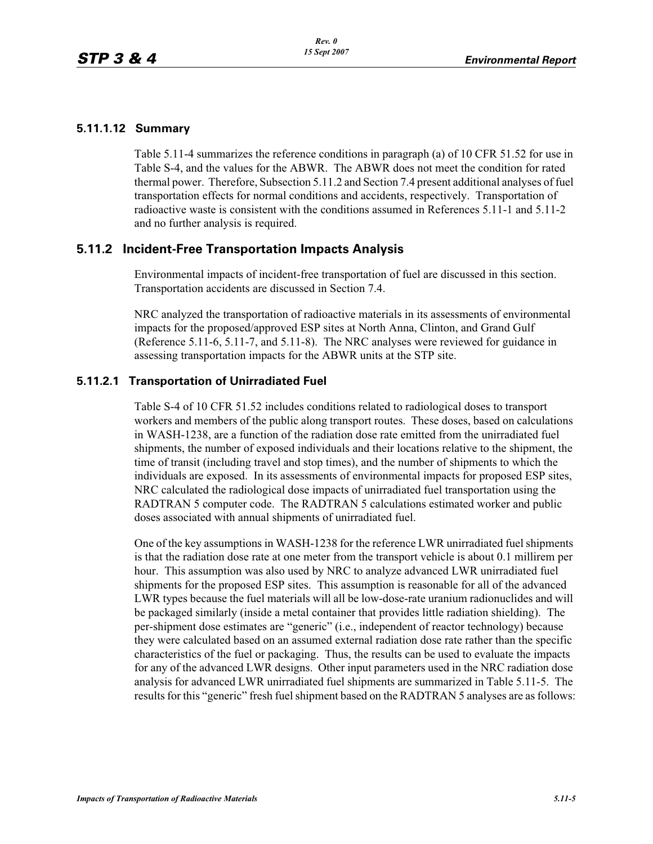#### **5.11.1.12 Summary**

Table 5.11-4 summarizes the reference conditions in paragraph (a) of 10 CFR 51.52 for use in Table S-4, and the values for the ABWR. The ABWR does not meet the condition for rated thermal power. Therefore, Subsection 5.11.2 and Section 7.4 present additional analyses of fuel transportation effects for normal conditions and accidents, respectively. Transportation of radioactive waste is consistent with the conditions assumed in References 5.11-1 and 5.11-2 and no further analysis is required.

# **5.11.2 Incident-Free Transportation Impacts Analysis**

Environmental impacts of incident-free transportation of fuel are discussed in this section. Transportation accidents are discussed in Section 7.4.

NRC analyzed the transportation of radioactive materials in its assessments of environmental impacts for the proposed/approved ESP sites at North Anna, Clinton, and Grand Gulf (Reference 5.11-6, 5.11-7, and 5.11-8). The NRC analyses were reviewed for guidance in assessing transportation impacts for the ABWR units at the STP site.

## **5.11.2.1 Transportation of Unirradiated Fuel**

Table S-4 of 10 CFR 51.52 includes conditions related to radiological doses to transport workers and members of the public along transport routes. These doses, based on calculations in WASH-1238, are a function of the radiation dose rate emitted from the unirradiated fuel shipments, the number of exposed individuals and their locations relative to the shipment, the time of transit (including travel and stop times), and the number of shipments to which the individuals are exposed. In its assessments of environmental impacts for proposed ESP sites, NRC calculated the radiological dose impacts of unirradiated fuel transportation using the RADTRAN 5 computer code. The RADTRAN 5 calculations estimated worker and public doses associated with annual shipments of unirradiated fuel.

One of the key assumptions in WASH-1238 for the reference LWR unirradiated fuel shipments is that the radiation dose rate at one meter from the transport vehicle is about 0.1 millirem per hour. This assumption was also used by NRC to analyze advanced LWR unirradiated fuel shipments for the proposed ESP sites. This assumption is reasonable for all of the advanced LWR types because the fuel materials will all be low-dose-rate uranium radionuclides and will be packaged similarly (inside a metal container that provides little radiation shielding). The per-shipment dose estimates are "generic" (i.e., independent of reactor technology) because they were calculated based on an assumed external radiation dose rate rather than the specific characteristics of the fuel or packaging. Thus, the results can be used to evaluate the impacts for any of the advanced LWR designs. Other input parameters used in the NRC radiation dose analysis for advanced LWR unirradiated fuel shipments are summarized in Table 5.11-5. The results for this "generic" fresh fuel shipment based on the RADTRAN 5 analyses are as follows: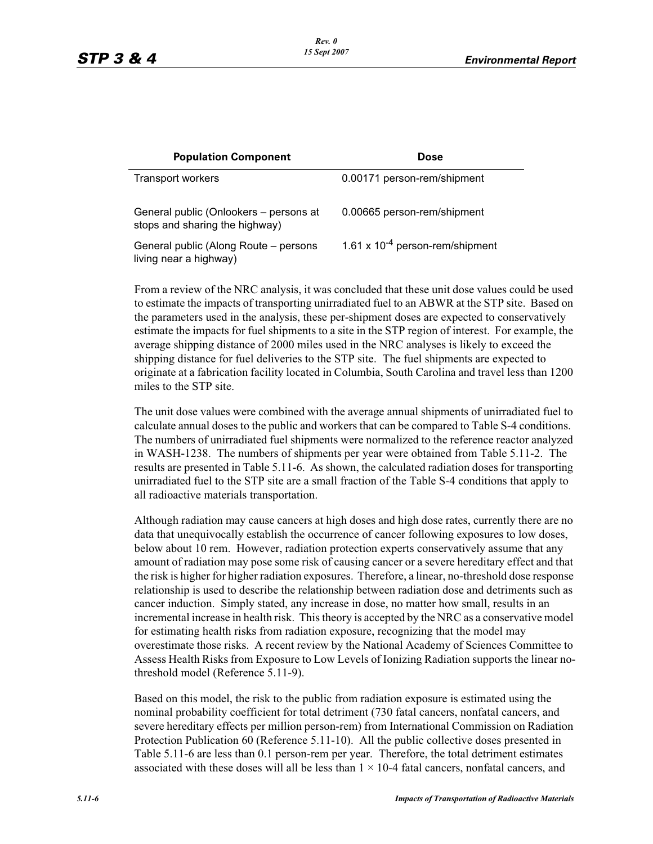| <b>Population Component</b>                                              | Dose                                 |
|--------------------------------------------------------------------------|--------------------------------------|
| Transport workers                                                        | 0.00171 person-rem/shipment          |
| General public (Onlookers – persons at<br>stops and sharing the highway) | 0.00665 person-rem/shipment          |
| General public (Along Route - persons<br>living near a highway)          | 1.61 x $10^{-4}$ person-rem/shipment |

From a review of the NRC analysis, it was concluded that these unit dose values could be used to estimate the impacts of transporting unirradiated fuel to an ABWR at the STP site. Based on the parameters used in the analysis, these per-shipment doses are expected to conservatively estimate the impacts for fuel shipments to a site in the STP region of interest. For example, the average shipping distance of 2000 miles used in the NRC analyses is likely to exceed the shipping distance for fuel deliveries to the STP site. The fuel shipments are expected to originate at a fabrication facility located in Columbia, South Carolina and travel less than 1200 miles to the STP site.

The unit dose values were combined with the average annual shipments of unirradiated fuel to calculate annual doses to the public and workers that can be compared to Table S-4 conditions. The numbers of unirradiated fuel shipments were normalized to the reference reactor analyzed in WASH-1238. The numbers of shipments per year were obtained from Table 5.11-2. The results are presented in Table 5.11-6. As shown, the calculated radiation doses for transporting unirradiated fuel to the STP site are a small fraction of the Table S-4 conditions that apply to all radioactive materials transportation.

Although radiation may cause cancers at high doses and high dose rates, currently there are no data that unequivocally establish the occurrence of cancer following exposures to low doses, below about 10 rem. However, radiation protection experts conservatively assume that any amount of radiation may pose some risk of causing cancer or a severe hereditary effect and that the risk is higher for higher radiation exposures. Therefore, a linear, no-threshold dose response relationship is used to describe the relationship between radiation dose and detriments such as cancer induction. Simply stated, any increase in dose, no matter how small, results in an incremental increase in health risk. This theory is accepted by the NRC as a conservative model for estimating health risks from radiation exposure, recognizing that the model may overestimate those risks. A recent review by the National Academy of Sciences Committee to Assess Health Risks from Exposure to Low Levels of Ionizing Radiation supports the linear nothreshold model (Reference 5.11-9).

Based on this model, the risk to the public from radiation exposure is estimated using the nominal probability coefficient for total detriment (730 fatal cancers, nonfatal cancers, and severe hereditary effects per million person-rem) from International Commission on Radiation Protection Publication 60 (Reference 5.11-10). All the public collective doses presented in Table 5.11-6 are less than 0.1 person-rem per year. Therefore, the total detriment estimates associated with these doses will all be less than  $1 \times 10$ -4 fatal cancers, nonfatal cancers, and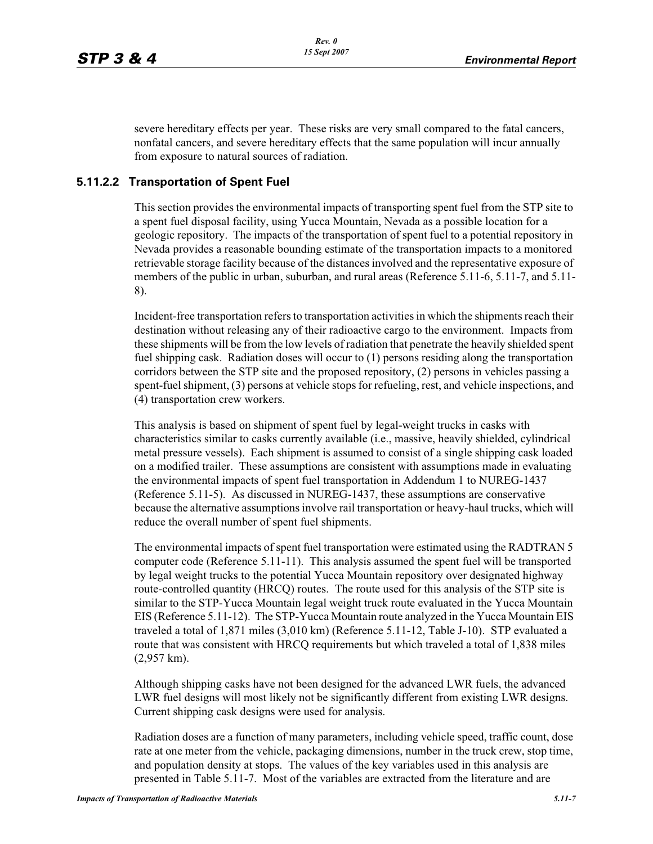severe hereditary effects per year. These risks are very small compared to the fatal cancers, nonfatal cancers, and severe hereditary effects that the same population will incur annually from exposure to natural sources of radiation.

## **5.11.2.2 Transportation of Spent Fuel**

This section provides the environmental impacts of transporting spent fuel from the STP site to a spent fuel disposal facility, using Yucca Mountain, Nevada as a possible location for a geologic repository. The impacts of the transportation of spent fuel to a potential repository in Nevada provides a reasonable bounding estimate of the transportation impacts to a monitored retrievable storage facility because of the distances involved and the representative exposure of members of the public in urban, suburban, and rural areas (Reference 5.11-6, 5.11-7, and 5.11- 8).

Incident-free transportation refers to transportation activities in which the shipments reach their destination without releasing any of their radioactive cargo to the environment. Impacts from these shipments will be from the low levels of radiation that penetrate the heavily shielded spent fuel shipping cask. Radiation doses will occur to (1) persons residing along the transportation corridors between the STP site and the proposed repository, (2) persons in vehicles passing a spent-fuel shipment, (3) persons at vehicle stops for refueling, rest, and vehicle inspections, and (4) transportation crew workers.

This analysis is based on shipment of spent fuel by legal-weight trucks in casks with characteristics similar to casks currently available (i.e., massive, heavily shielded, cylindrical metal pressure vessels). Each shipment is assumed to consist of a single shipping cask loaded on a modified trailer. These assumptions are consistent with assumptions made in evaluating the environmental impacts of spent fuel transportation in Addendum 1 to NUREG-1437 (Reference 5.11-5). As discussed in NUREG-1437, these assumptions are conservative because the alternative assumptions involve rail transportation or heavy-haul trucks, which will reduce the overall number of spent fuel shipments.

The environmental impacts of spent fuel transportation were estimated using the RADTRAN 5 computer code (Reference 5.11-11). This analysis assumed the spent fuel will be transported by legal weight trucks to the potential Yucca Mountain repository over designated highway route-controlled quantity (HRCQ) routes. The route used for this analysis of the STP site is similar to the STP-Yucca Mountain legal weight truck route evaluated in the Yucca Mountain EIS (Reference 5.11-12). The STP-Yucca Mountain route analyzed in the Yucca Mountain EIS traveled a total of 1,871 miles (3,010 km) (Reference 5.11-12, Table J-10). STP evaluated a route that was consistent with HRCQ requirements but which traveled a total of 1,838 miles (2,957 km).

Although shipping casks have not been designed for the advanced LWR fuels, the advanced LWR fuel designs will most likely not be significantly different from existing LWR designs. Current shipping cask designs were used for analysis.

Radiation doses are a function of many parameters, including vehicle speed, traffic count, dose rate at one meter from the vehicle, packaging dimensions, number in the truck crew, stop time, and population density at stops. The values of the key variables used in this analysis are presented in Table 5.11-7. Most of the variables are extracted from the literature and are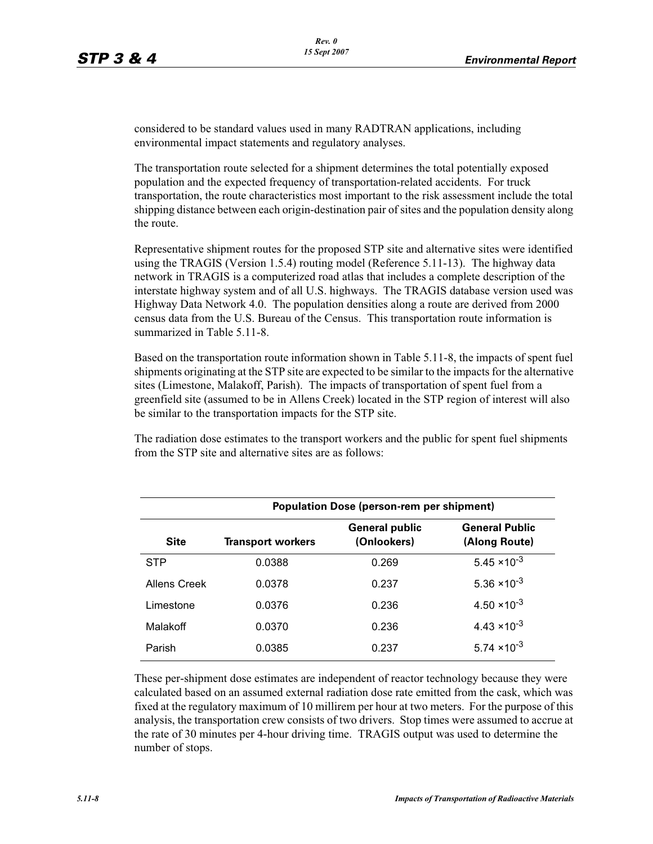considered to be standard values used in many RADTRAN applications, including environmental impact statements and regulatory analyses.

The transportation route selected for a shipment determines the total potentially exposed population and the expected frequency of transportation-related accidents. For truck transportation, the route characteristics most important to the risk assessment include the total shipping distance between each origin-destination pair of sites and the population density along the route.

Representative shipment routes for the proposed STP site and alternative sites were identified using the TRAGIS (Version 1.5.4) routing model (Reference 5.11-13). The highway data network in TRAGIS is a computerized road atlas that includes a complete description of the interstate highway system and of all U.S. highways. The TRAGIS database version used was Highway Data Network 4.0. The population densities along a route are derived from 2000 census data from the U.S. Bureau of the Census. This transportation route information is summarized in Table 5.11-8.

Based on the transportation route information shown in Table 5.11-8, the impacts of spent fuel shipments originating at the STP site are expected to be similar to the impacts for the alternative sites (Limestone, Malakoff, Parish). The impacts of transportation of spent fuel from a greenfield site (assumed to be in Allens Creek) located in the STP region of interest will also be similar to the transportation impacts for the STP site.

The radiation dose estimates to the transport workers and the public for spent fuel shipments from the STP site and alternative sites are as follows:

| <b>Population Dose (person-rem per shipment)</b> |                          |                                      |                                        |  |  |  |
|--------------------------------------------------|--------------------------|--------------------------------------|----------------------------------------|--|--|--|
| <b>Site</b>                                      | <b>Transport workers</b> | <b>General public</b><br>(Onlookers) | <b>General Public</b><br>(Along Route) |  |  |  |
| <b>STP</b>                                       | 0.0388                   | 0.269                                | $5.45 \times 10^{-3}$                  |  |  |  |
| Allens Creek                                     | 0.0378                   | 0.237                                | 5.36 $\times$ 10 <sup>-3</sup>         |  |  |  |
| Limestone                                        | 0.0376                   | 0.236                                | $4.50 \times 10^{-3}$                  |  |  |  |
| Malakoff                                         | 0.0370                   | 0.236                                | $4.43 \times 10^{-3}$                  |  |  |  |
| Parish                                           | 0.0385                   | 0.237                                | $5.74 \times 10^{-3}$                  |  |  |  |

These per-shipment dose estimates are independent of reactor technology because they were calculated based on an assumed external radiation dose rate emitted from the cask, which was fixed at the regulatory maximum of 10 millirem per hour at two meters. For the purpose of this analysis, the transportation crew consists of two drivers. Stop times were assumed to accrue at the rate of 30 minutes per 4-hour driving time. TRAGIS output was used to determine the number of stops.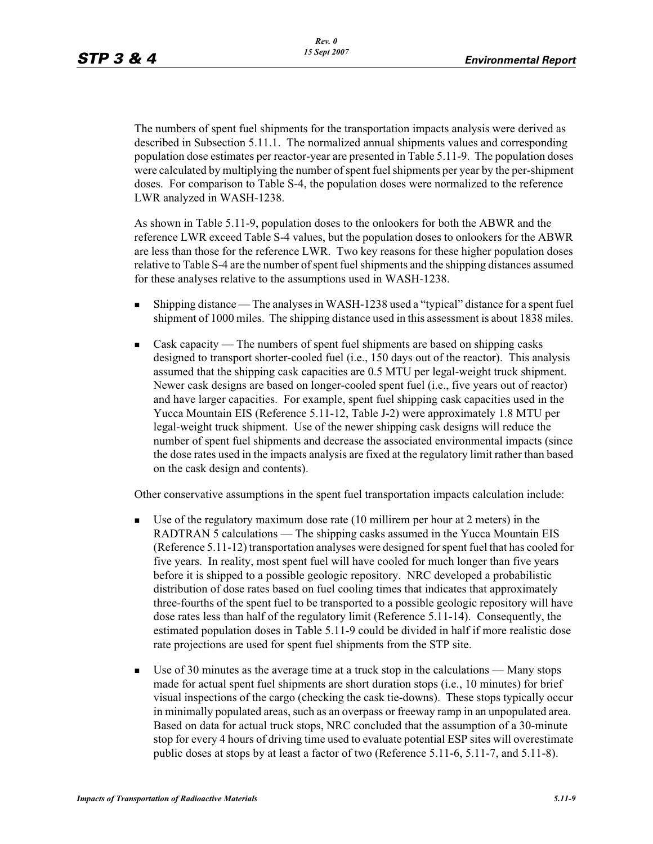The numbers of spent fuel shipments for the transportation impacts analysis were derived as described in Subsection 5.11.1. The normalized annual shipments values and corresponding population dose estimates per reactor-year are presented in Table 5.11-9. The population doses were calculated by multiplying the number of spent fuel shipments per year by the per-shipment doses. For comparison to Table S-4, the population doses were normalized to the reference LWR analyzed in WASH-1238.

As shown in Table 5.11-9, population doses to the onlookers for both the ABWR and the reference LWR exceed Table S-4 values, but the population doses to onlookers for the ABWR are less than those for the reference LWR. Two key reasons for these higher population doses relative to Table S-4 are the number of spent fuel shipments and the shipping distances assumed for these analyses relative to the assumptions used in WASH-1238.

- - Shipping distance — The analyses in WASH-1238 used a "typical" distance for a spent fuel shipment of 1000 miles. The shipping distance used in this assessment is about 1838 miles.
- - Cask capacity — The numbers of spent fuel shipments are based on shipping casks designed to transport shorter-cooled fuel (i.e., 150 days out of the reactor). This analysis assumed that the shipping cask capacities are 0.5 MTU per legal-weight truck shipment. Newer cask designs are based on longer-cooled spent fuel (i.e., five years out of reactor) and have larger capacities. For example, spent fuel shipping cask capacities used in the Yucca Mountain EIS (Reference 5.11-12, Table J-2) were approximately 1.8 MTU per legal-weight truck shipment. Use of the newer shipping cask designs will reduce the number of spent fuel shipments and decrease the associated environmental impacts (since the dose rates used in the impacts analysis are fixed at the regulatory limit rather than based on the cask design and contents).

Other conservative assumptions in the spent fuel transportation impacts calculation include:

- - Use of the regulatory maximum dose rate (10 millirem per hour at 2 meters) in the RADTRAN 5 calculations — The shipping casks assumed in the Yucca Mountain EIS (Reference 5.11-12) transportation analyses were designed for spent fuel that has cooled for five years. In reality, most spent fuel will have cooled for much longer than five years before it is shipped to a possible geologic repository. NRC developed a probabilistic distribution of dose rates based on fuel cooling times that indicates that approximately three-fourths of the spent fuel to be transported to a possible geologic repository will have dose rates less than half of the regulatory limit (Reference 5.11-14). Consequently, the estimated population doses in Table 5.11-9 could be divided in half if more realistic dose rate projections are used for spent fuel shipments from the STP site.
- - Use of 30 minutes as the average time at a truck stop in the calculations — Many stops made for actual spent fuel shipments are short duration stops (i.e., 10 minutes) for brief visual inspections of the cargo (checking the cask tie-downs). These stops typically occur in minimally populated areas, such as an overpass or freeway ramp in an unpopulated area. Based on data for actual truck stops, NRC concluded that the assumption of a 30-minute stop for every 4 hours of driving time used to evaluate potential ESP sites will overestimate public doses at stops by at least a factor of two (Reference 5.11-6, 5.11-7, and 5.11-8).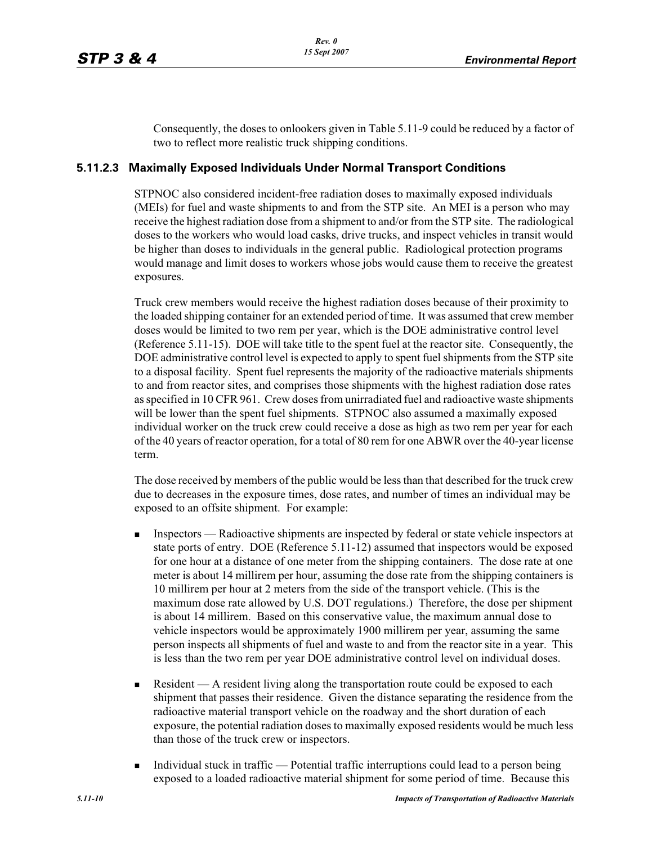Consequently, the doses to onlookers given in Table 5.11-9 could be reduced by a factor of two to reflect more realistic truck shipping conditions.

#### **5.11.2.3 Maximally Exposed Individuals Under Normal Transport Conditions**

STPNOC also considered incident-free radiation doses to maximally exposed individuals (MEIs) for fuel and waste shipments to and from the STP site. An MEI is a person who may receive the highest radiation dose from a shipment to and/or from the STP site. The radiological doses to the workers who would load casks, drive trucks, and inspect vehicles in transit would be higher than doses to individuals in the general public. Radiological protection programs would manage and limit doses to workers whose jobs would cause them to receive the greatest exposures.

Truck crew members would receive the highest radiation doses because of their proximity to the loaded shipping container for an extended period of time. It was assumed that crew member doses would be limited to two rem per year, which is the DOE administrative control level (Reference 5.11-15). DOE will take title to the spent fuel at the reactor site. Consequently, the DOE administrative control level is expected to apply to spent fuel shipments from the STP site to a disposal facility. Spent fuel represents the majority of the radioactive materials shipments to and from reactor sites, and comprises those shipments with the highest radiation dose rates as specified in 10 CFR 961. Crew doses from unirradiated fuel and radioactive waste shipments will be lower than the spent fuel shipments. STPNOC also assumed a maximally exposed individual worker on the truck crew could receive a dose as high as two rem per year for each of the 40 years of reactor operation, for a total of 80 rem for one ABWR over the 40-year license term.

The dose received by members of the public would be less than that described for the truck crew due to decreases in the exposure times, dose rates, and number of times an individual may be exposed to an offsite shipment. For example:

- - Inspectors — Radioactive shipments are inspected by federal or state vehicle inspectors at state ports of entry. DOE (Reference 5.11-12) assumed that inspectors would be exposed for one hour at a distance of one meter from the shipping containers. The dose rate at one meter is about 14 millirem per hour, assuming the dose rate from the shipping containers is 10 millirem per hour at 2 meters from the side of the transport vehicle. (This is the maximum dose rate allowed by U.S. DOT regulations.) Therefore, the dose per shipment is about 14 millirem. Based on this conservative value, the maximum annual dose to vehicle inspectors would be approximately 1900 millirem per year, assuming the same person inspects all shipments of fuel and waste to and from the reactor site in a year. This is less than the two rem per year DOE administrative control level on individual doses.
- - Resident — A resident living along the transportation route could be exposed to each shipment that passes their residence. Given the distance separating the residence from the radioactive material transport vehicle on the roadway and the short duration of each exposure, the potential radiation doses to maximally exposed residents would be much less than those of the truck crew or inspectors.
- - Individual stuck in traffic — Potential traffic interruptions could lead to a person being exposed to a loaded radioactive material shipment for some period of time. Because this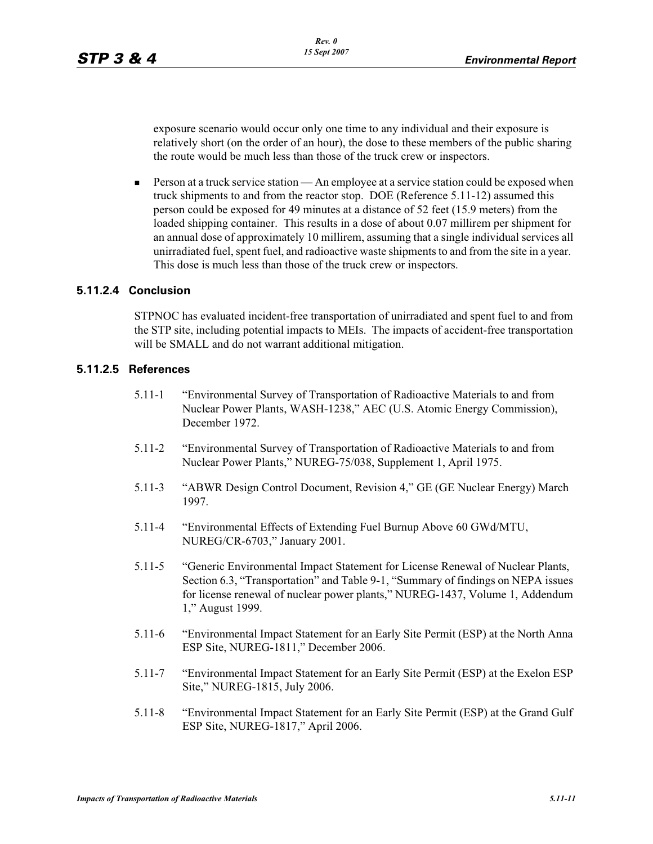exposure scenario would occur only one time to any individual and their exposure is relatively short (on the order of an hour), the dose to these members of the public sharing the route would be much less than those of the truck crew or inspectors.

- Person at a truck service station — An employee at a service station could be exposed when truck shipments to and from the reactor stop. DOE (Reference 5.11-12) assumed this person could be exposed for 49 minutes at a distance of 52 feet (15.9 meters) from the loaded shipping container. This results in a dose of about 0.07 millirem per shipment for an annual dose of approximately 10 millirem, assuming that a single individual services all unirradiated fuel, spent fuel, and radioactive waste shipments to and from the site in a year. This dose is much less than those of the truck crew or inspectors.

#### **5.11.2.4 Conclusion**

STPNOC has evaluated incident-free transportation of unirradiated and spent fuel to and from the STP site, including potential impacts to MEIs. The impacts of accident-free transportation will be SMALL and do not warrant additional mitigation.

#### **5.11.2.5 References**

- 5.11-1 "Environmental Survey of Transportation of Radioactive Materials to and from Nuclear Power Plants, WASH-1238," AEC (U.S. Atomic Energy Commission), December 1972.
- 5.11-2 "Environmental Survey of Transportation of Radioactive Materials to and from Nuclear Power Plants," NUREG-75/038, Supplement 1, April 1975.
- 5.11-3 "ABWR Design Control Document, Revision 4," GE (GE Nuclear Energy) March 1997.
- 5.11-4 "Environmental Effects of Extending Fuel Burnup Above 60 GWd/MTU, NUREG/CR-6703," January 2001.
- 5.11-5 "Generic Environmental Impact Statement for License Renewal of Nuclear Plants, Section 6.3, "Transportation" and Table 9-1, "Summary of findings on NEPA issues for license renewal of nuclear power plants," NUREG-1437, Volume 1, Addendum 1," August 1999.
- 5.11-6 "Environmental Impact Statement for an Early Site Permit (ESP) at the North Anna ESP Site, NUREG-1811," December 2006.
- 5.11-7 "Environmental Impact Statement for an Early Site Permit (ESP) at the Exelon ESP Site," NUREG-1815, July 2006.
- 5.11-8 "Environmental Impact Statement for an Early Site Permit (ESP) at the Grand Gulf ESP Site, NUREG-1817," April 2006.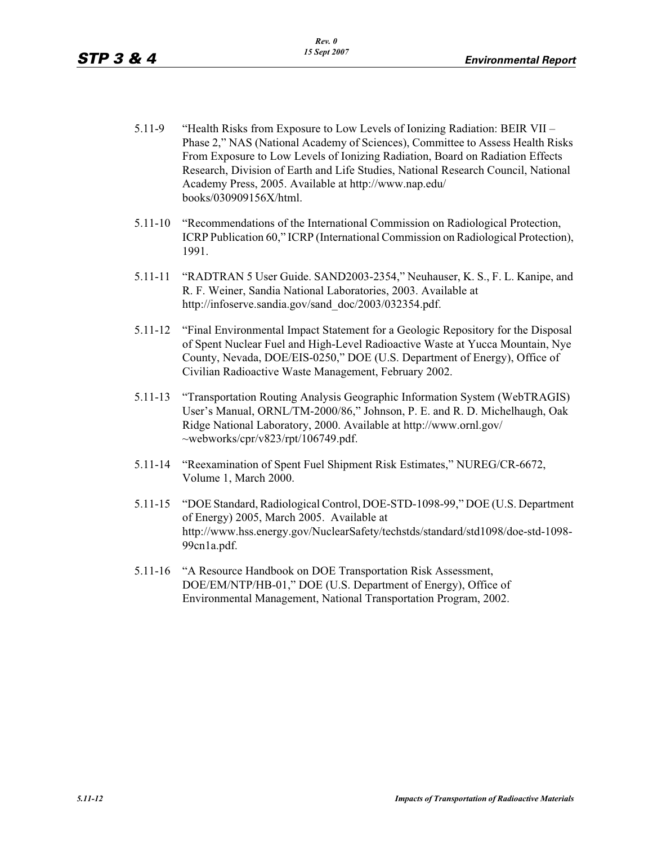- 5.11-9 "Health Risks from Exposure to Low Levels of Ionizing Radiation: BEIR VII Phase 2," NAS (National Academy of Sciences), Committee to Assess Health Risks From Exposure to Low Levels of Ionizing Radiation, Board on Radiation Effects Research, Division of Earth and Life Studies, National Research Council, National Academy Press, 2005. Available at http://www.nap.edu/ books/030909156X/html.
- 5.11-10 "Recommendations of the International Commission on Radiological Protection, ICRP Publication 60," ICRP (International Commission on Radiological Protection), 1991.
- 5.11-11 "RADTRAN 5 User Guide. SAND2003-2354," Neuhauser, K. S., F. L. Kanipe, and R. F. Weiner, Sandia National Laboratories, 2003. Available at http://infoserve.sandia.gov/sand\_doc/2003/032354.pdf.
- 5.11-12 "Final Environmental Impact Statement for a Geologic Repository for the Disposal of Spent Nuclear Fuel and High-Level Radioactive Waste at Yucca Mountain, Nye County, Nevada, DOE/EIS-0250," DOE (U.S. Department of Energy), Office of Civilian Radioactive Waste Management, February 2002.
- 5.11-13 "Transportation Routing Analysis Geographic Information System (WebTRAGIS) User's Manual, ORNL/TM-2000/86," Johnson, P. E. and R. D. Michelhaugh, Oak Ridge National Laboratory, 2000. Available at http://www.ornl.gov/  $\sim$ webworks/cpr/v823/rpt/106749.pdf.
- 5.11-14 "Reexamination of Spent Fuel Shipment Risk Estimates," NUREG/CR-6672, Volume 1, March 2000.
- 5.11-15 "DOE Standard, Radiological Control, DOE-STD-1098-99," DOE (U.S. Department of Energy) 2005, March 2005. Available at http://www.hss.energy.gov/NuclearSafety/techstds/standard/std1098/doe-std-1098- 99cn1a.pdf.
- 5.11-16 "A Resource Handbook on DOE Transportation Risk Assessment, DOE/EM/NTP/HB-01," DOE (U.S. Department of Energy), Office of Environmental Management, National Transportation Program, 2002.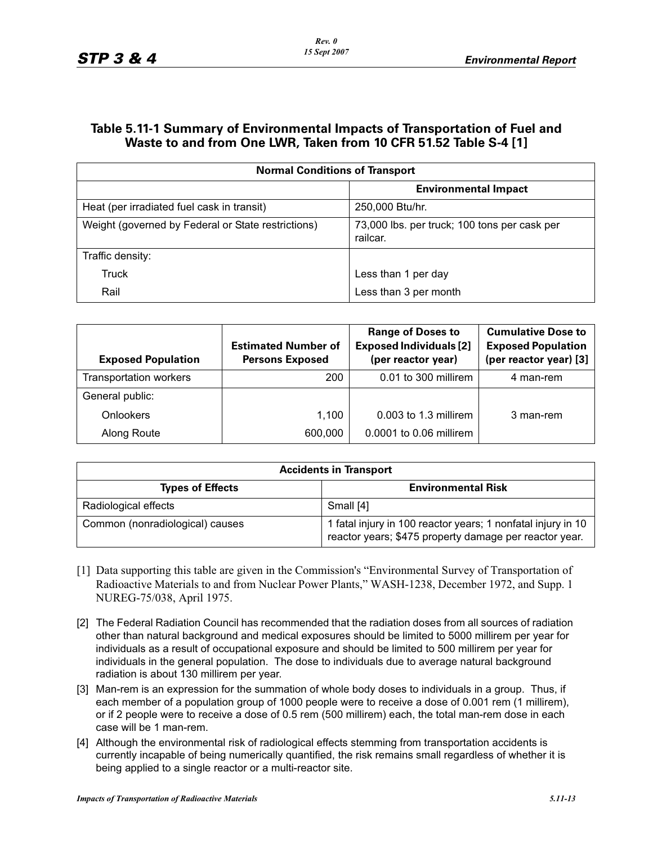## **Table 5.11-1 Summary of Environmental Impacts of Transportation of Fuel and Waste to and from One LWR, Taken from 10 CFR 51.52 Table S-4 [1]**

| <b>Normal Conditions of Transport</b>              |                                                          |  |  |  |
|----------------------------------------------------|----------------------------------------------------------|--|--|--|
|                                                    | <b>Environmental Impact</b>                              |  |  |  |
| Heat (per irradiated fuel cask in transit)         | 250,000 Btu/hr.                                          |  |  |  |
| Weight (governed by Federal or State restrictions) | 73,000 lbs. per truck; 100 tons per cask per<br>railcar. |  |  |  |
| Traffic density:                                   |                                                          |  |  |  |
| Truck                                              | Less than 1 per day                                      |  |  |  |
| Rail                                               | Less than 3 per month                                    |  |  |  |

| <b>Exposed Population</b> | <b>Estimated Number of</b><br><b>Persons Exposed</b> | <b>Range of Doses to</b><br><b>Exposed Individuals [2]</b><br>(per reactor year) | <b>Cumulative Dose to</b><br><b>Exposed Population</b><br>(per reactor year) [3] |
|---------------------------|------------------------------------------------------|----------------------------------------------------------------------------------|----------------------------------------------------------------------------------|
| Transportation workers    | 200                                                  | 0.01 to 300 millirem                                                             | 4 man-rem                                                                        |
| General public:           |                                                      |                                                                                  |                                                                                  |
| <b>Onlookers</b>          | 1.100                                                | 0.003 to 1.3 millirem                                                            | 3 man-rem                                                                        |
| Along Route               | 600,000                                              | 0.0001 to 0.06 millirem                                                          |                                                                                  |

| <b>Accidents in Transport</b>   |                                                                                                                        |  |  |
|---------------------------------|------------------------------------------------------------------------------------------------------------------------|--|--|
| <b>Types of Effects</b>         | <b>Environmental Risk</b>                                                                                              |  |  |
| Radiological effects            | Small [4]                                                                                                              |  |  |
| Common (nonradiological) causes | 1 fatal injury in 100 reactor years; 1 nonfatal injury in 10<br>reactor years; \$475 property damage per reactor year. |  |  |

- [1] Data supporting this table are given in the Commission's "Environmental Survey of Transportation of Radioactive Materials to and from Nuclear Power Plants," WASH-1238, December 1972, and Supp. 1 NUREG-75/038, April 1975.
- [2] The Federal Radiation Council has recommended that the radiation doses from all sources of radiation other than natural background and medical exposures should be limited to 5000 millirem per year for individuals as a result of occupational exposure and should be limited to 500 millirem per year for individuals in the general population. The dose to individuals due to average natural background radiation is about 130 millirem per year.
- [3] Man-rem is an expression for the summation of whole body doses to individuals in a group. Thus, if each member of a population group of 1000 people were to receive a dose of 0.001 rem (1 millirem), or if 2 people were to receive a dose of 0.5 rem (500 millirem) each, the total man-rem dose in each case will be 1 man-rem.
- [4] Although the environmental risk of radiological effects stemming from transportation accidents is currently incapable of being numerically quantified, the risk remains small regardless of whether it is being applied to a single reactor or a multi-reactor site.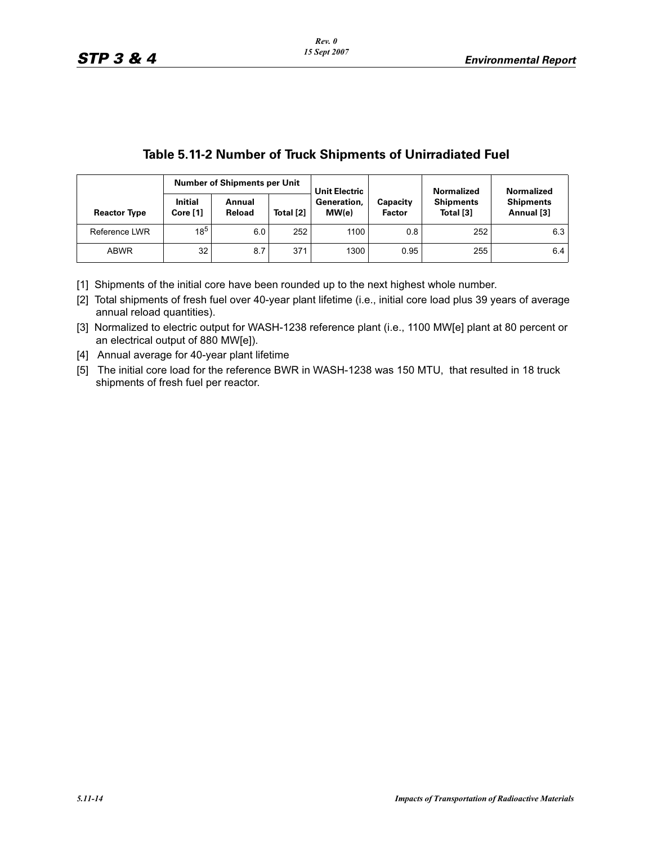|                     | lable 5. H-Z INGHIDER OF IRUCK SHIDHIEHTS OF ONIFFACIATED FUEL |                                     |           |                      |                           |                               |                                |                   |  |  |
|---------------------|----------------------------------------------------------------|-------------------------------------|-----------|----------------------|---------------------------|-------------------------------|--------------------------------|-------------------|--|--|
|                     |                                                                | <b>Number of Shipments per Unit</b> |           |                      | <b>Unit Electric</b>      |                               | <b>Normalized</b>              | <b>Normalized</b> |  |  |
| <b>Reactor Type</b> | <b>Initial</b><br>Core[1]                                      | Annual<br>Reload                    | Total [2] | Generation.<br>MW(e) | Capacity<br><b>Factor</b> | <b>Shipments</b><br>Total [3] | <b>Shipments</b><br>Annual [3] |                   |  |  |
|                     | Reference LWR                                                  | $18^{5}$                            | 6.0       | 252                  | 1100                      | 0.8                           | 252                            | 6.3               |  |  |
|                     | <b>ABWR</b>                                                    | 32                                  | 8.7       | 371                  | 1300                      | 0.95                          | 255                            | 6.4               |  |  |

# **Table 5.11-2 Number of Truck Shipments of Unirradiated Fuel**

[1] Shipments of the initial core have been rounded up to the next highest whole number.

[2] Total shipments of fresh fuel over 40-year plant lifetime (i.e., initial core load plus 39 years of average annual reload quantities).

[3] Normalized to electric output for WASH-1238 reference plant (i.e., 1100 MW[e] plant at 80 percent or an electrical output of 880 MW[e]).

[4] Annual average for 40-year plant lifetime

[5] The initial core load for the reference BWR in WASH-1238 was 150 MTU, that resulted in 18 truck shipments of fresh fuel per reactor.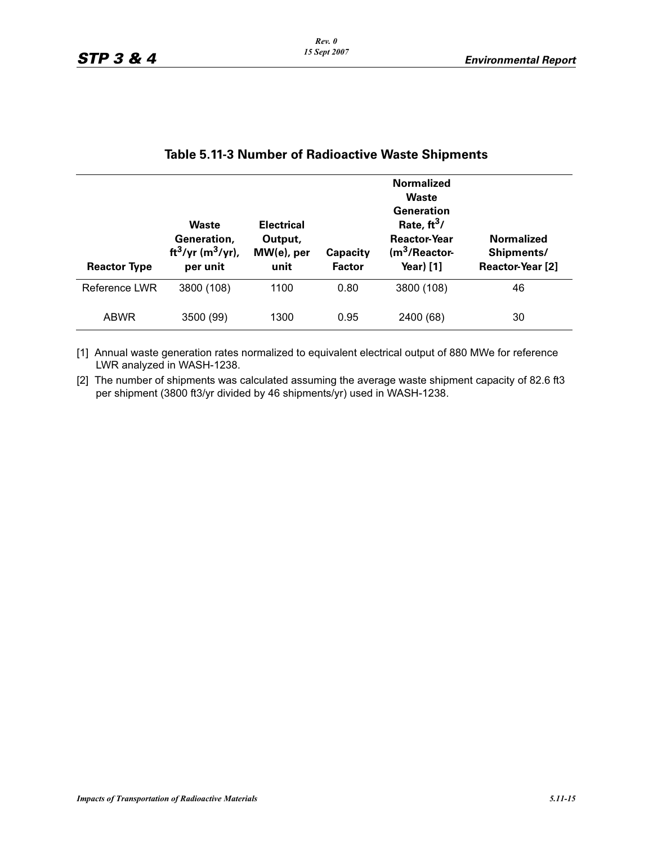| <b>Reactor Type</b> | <b>Waste</b><br>Generation,<br>ft <sup>3</sup> /yr (m <sup>3</sup> /yr),<br>per unit | <b>Electrical</b><br>Output,<br>$MW(e)$ , per<br>unit | Capacity<br><b>Factor</b> | <b>Normalized</b><br><b>Waste</b><br>Generation<br>Rate, $ft^3/$<br><b>Reactor-Year</b><br>$(m3/Reactor-$<br>Year) [1] | <b>Normalized</b><br>Shipments/<br>Reactor-Year [2] |
|---------------------|--------------------------------------------------------------------------------------|-------------------------------------------------------|---------------------------|------------------------------------------------------------------------------------------------------------------------|-----------------------------------------------------|
| Reference LWR       | 3800 (108)                                                                           | 1100                                                  | 0.80                      | 3800 (108)                                                                                                             | 46                                                  |
| <b>ABWR</b>         | 3500 (99)                                                                            | 1300                                                  | 0.95                      | 2400 (68)                                                                                                              | 30                                                  |

# **Table 5.11-3 Number of Radioactive Waste Shipments**

[1] Annual waste generation rates normalized to equivalent electrical output of 880 MWe for reference LWR analyzed in WASH-1238.

[2] The number of shipments was calculated assuming the average waste shipment capacity of 82.6 ft3 per shipment (3800 ft3/yr divided by 46 shipments/yr) used in WASH-1238.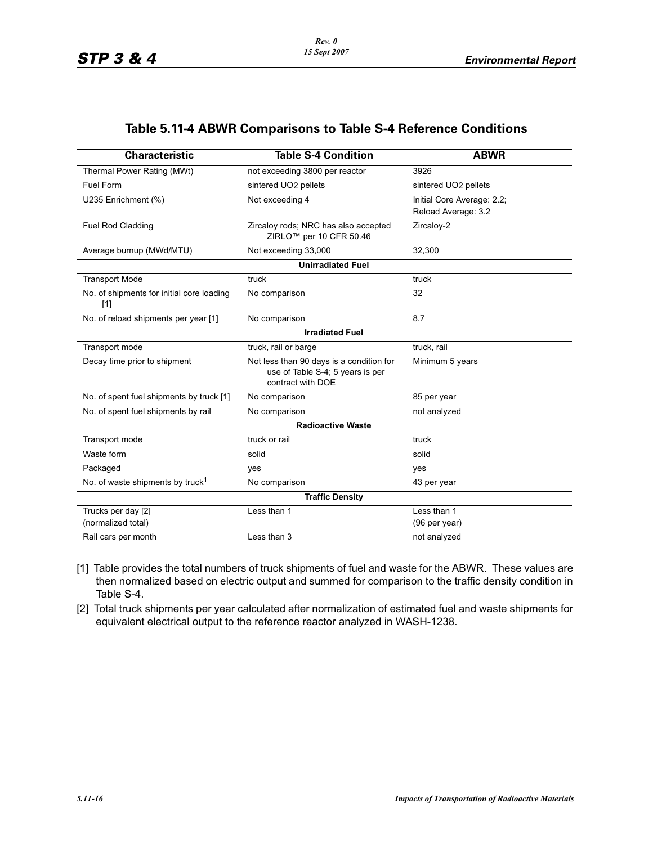# **Table 5.11-4 ABWR Comparisons to Table S-4 Reference Conditions**

| <b>Characteristic</b>                              | <b>Table S-4 Condition</b>                                                                        | <b>ABWR</b>                                       |
|----------------------------------------------------|---------------------------------------------------------------------------------------------------|---------------------------------------------------|
| Thermal Power Rating (MWt)                         | not exceeding 3800 per reactor                                                                    | 3926                                              |
| Fuel Form                                          | sintered UO2 pellets                                                                              | sintered UO2 pellets                              |
| U235 Enrichment (%)                                | Not exceeding 4                                                                                   | Initial Core Average: 2.2;<br>Reload Average: 3.2 |
| <b>Fuel Rod Cladding</b>                           | Zircaloy rods; NRC has also accepted<br>ZIRLO <sup>™</sup> per 10 CFR 50.46                       | Zircaloy-2                                        |
| Average burnup (MWd/MTU)                           | Not exceeding 33,000                                                                              | 32,300                                            |
|                                                    | <b>Unirradiated Fuel</b>                                                                          |                                                   |
| <b>Transport Mode</b>                              | truck                                                                                             | truck                                             |
| No. of shipments for initial core loading<br>$[1]$ | No comparison                                                                                     | 32                                                |
| No. of reload shipments per year [1]               | No comparison                                                                                     | 8.7                                               |
|                                                    | <b>Irradiated Fuel</b>                                                                            |                                                   |
| Transport mode                                     | truck, rail or barge                                                                              | truck, rail                                       |
| Decay time prior to shipment                       | Not less than 90 days is a condition for<br>use of Table S-4; 5 years is per<br>contract with DOE | Minimum 5 years                                   |
| No. of spent fuel shipments by truck [1]           | No comparison                                                                                     | 85 per year                                       |
| No. of spent fuel shipments by rail                | No comparison                                                                                     | not analyzed                                      |
|                                                    | <b>Radioactive Waste</b>                                                                          |                                                   |
| Transport mode                                     | truck or rail                                                                                     | truck                                             |
| Waste form                                         | solid                                                                                             | solid                                             |
| Packaged                                           | yes                                                                                               | yes                                               |
| No. of waste shipments by truck <sup>1</sup>       | No comparison                                                                                     | 43 per year                                       |
|                                                    | <b>Traffic Density</b>                                                                            |                                                   |
| Trucks per day [2]<br>(normalized total)           | Less than 1                                                                                       | Less than 1<br>(96 per year)                      |
| Rail cars per month                                | Less than 3                                                                                       | not analyzed                                      |

- [1] Table provides the total numbers of truck shipments of fuel and waste for the ABWR. These values are then normalized based on electric output and summed for comparison to the traffic density condition in Table S-4.
- [2] Total truck shipments per year calculated after normalization of estimated fuel and waste shipments for equivalent electrical output to the reference reactor analyzed in WASH-1238.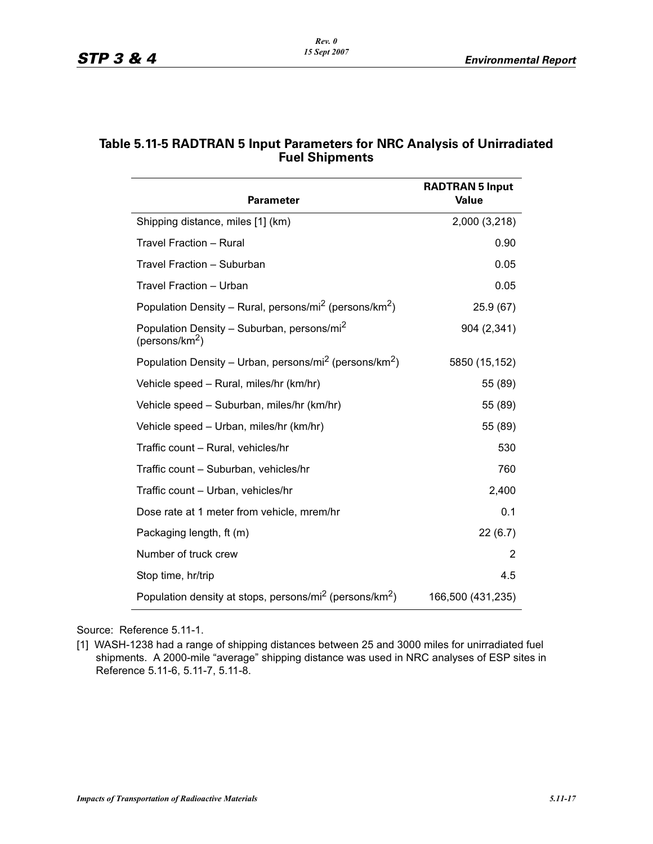| <b>Parameter</b>                                                                     | <b>RADTRAN 5 Input</b><br><b>Value</b> |
|--------------------------------------------------------------------------------------|----------------------------------------|
| Shipping distance, miles [1] (km)                                                    | 2,000 (3,218)                          |
| Travel Fraction - Rural                                                              | 0.90                                   |
| Travel Fraction - Suburban                                                           | 0.05                                   |
| <b>Travel Fraction - Urban</b>                                                       | 0.05                                   |
| Population Density – Rural, persons/mi <sup>2</sup> (persons/km <sup>2</sup> )       | 25.9 (67)                              |
| Population Density - Suburban, persons/mi <sup>2</sup><br>(persons/km <sup>2</sup> ) | 904 (2,341)                            |
| Population Density – Urban, persons/mi <sup>2</sup> (persons/km <sup>2</sup> )       | 5850 (15,152)                          |
| Vehicle speed - Rural, miles/hr (km/hr)                                              | 55 (89)                                |
| Vehicle speed - Suburban, miles/hr (km/hr)                                           | 55 (89)                                |
| Vehicle speed - Urban, miles/hr (km/hr)                                              | 55 (89)                                |
| Traffic count - Rural, vehicles/hr                                                   | 530                                    |
| Traffic count - Suburban, vehicles/hr                                                | 760                                    |
| Traffic count - Urban, vehicles/hr                                                   | 2,400                                  |
| Dose rate at 1 meter from vehicle, mrem/hr                                           | 0.1                                    |
| Packaging length, ft (m)                                                             | 22(6.7)                                |
| Number of truck crew                                                                 | 2                                      |
| Stop time, hr/trip                                                                   | 4.5                                    |
| Population density at stops, persons/mi <sup>2</sup> (persons/km <sup>2</sup> )      | 166,500 (431,235)                      |

# **Table 5.11-5 RADTRAN 5 Input Parameters for NRC Analysis of Unirradiated Fuel Shipments**

Source: Reference 5.11-1.

[1] WASH-1238 had a range of shipping distances between 25 and 3000 miles for unirradiated fuel shipments. A 2000-mile "average" shipping distance was used in NRC analyses of ESP sites in Reference 5.11-6, 5.11-7, 5.11-8.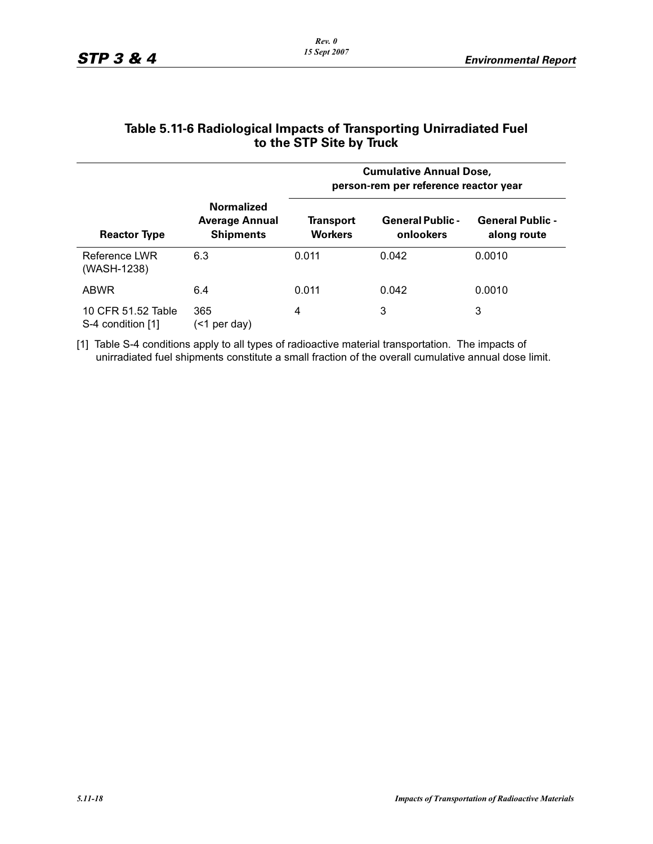|                                         |                                                                | <b>Cumulative Annual Dose,</b><br>person-rem per reference reactor year |                                      |                                        |  |  |
|-----------------------------------------|----------------------------------------------------------------|-------------------------------------------------------------------------|--------------------------------------|----------------------------------------|--|--|
| <b>Reactor Type</b>                     | <b>Normalized</b><br><b>Average Annual</b><br><b>Shipments</b> | Transport<br><b>Workers</b>                                             | <b>General Public -</b><br>onlookers | <b>General Public -</b><br>along route |  |  |
| Reference LWR<br>(WASH-1238)            | 6.3                                                            | 0.011                                                                   | 0.042                                | 0.0010                                 |  |  |
| <b>ABWR</b>                             | 6.4                                                            | 0.011                                                                   | 0.042                                | 0.0010                                 |  |  |
| 10 CFR 51.52 Table<br>S-4 condition [1] | 365<br>(<1 per day)                                            | 4                                                                       | 3                                    | 3                                      |  |  |

#### **Table 5.11-6 Radiological Impacts of Transporting Unirradiated Fuel to the STP Site by Truck**

[1] Table S-4 conditions apply to all types of radioactive material transportation. The impacts of unirradiated fuel shipments constitute a small fraction of the overall cumulative annual dose limit.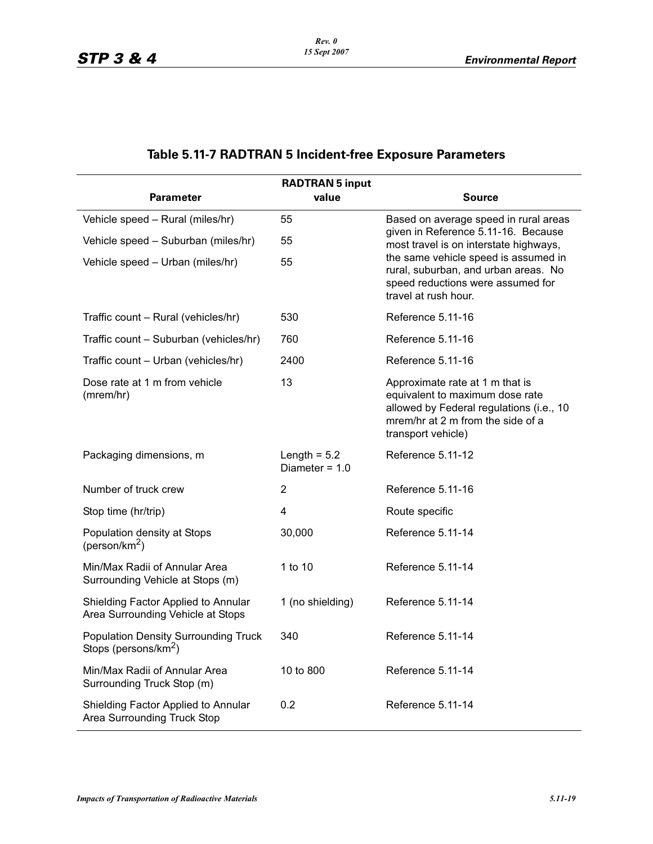# **Table 5.11-7 RADTRAN 5 Incident-free Exposure Parameters**

|                                                                                 | <b>RADTRAN 5 input</b>             |                                                                                                                                                                           |
|---------------------------------------------------------------------------------|------------------------------------|---------------------------------------------------------------------------------------------------------------------------------------------------------------------------|
| <b>Parameter</b>                                                                | value                              | <b>Source</b>                                                                                                                                                             |
| Vehicle speed - Rural (miles/hr)                                                | 55                                 | Based on average speed in rural areas                                                                                                                                     |
| Vehicle speed - Suburban (miles/hr)                                             | 55                                 | given in Reference 5.11-16. Because<br>most travel is on interstate highways,                                                                                             |
| Vehicle speed - Urban (miles/hr)                                                | 55                                 | the same vehicle speed is assumed in<br>rural, suburban, and urban areas. No<br>speed reductions were assumed for<br>travel at rush hour.                                 |
| Traffic count - Rural (vehicles/hr)                                             | 530                                | Reference 5.11-16                                                                                                                                                         |
| Traffic count - Suburban (vehicles/hr)                                          | 760                                | Reference 5.11-16                                                                                                                                                         |
| Traffic count - Urban (vehicles/hr)                                             | 2400                               | Reference 5.11-16                                                                                                                                                         |
| Dose rate at 1 m from vehicle<br>(mrem/hr)                                      | 13                                 | Approximate rate at 1 m that is<br>equivalent to maximum dose rate<br>allowed by Federal regulations (i.e., 10<br>mrem/hr at 2 m from the side of a<br>transport vehicle) |
| Packaging dimensions, m                                                         | Length $= 5.2$<br>Diameter = $1.0$ | Reference 5.11-12                                                                                                                                                         |
| Number of truck crew                                                            | 2                                  | Reference 5.11-16                                                                                                                                                         |
| Stop time (hr/trip)                                                             | 4                                  | Route specific                                                                                                                                                            |
| Population density at Stops<br>(person/km <sup>2</sup> )                        | 30,000                             | Reference 5.11-14                                                                                                                                                         |
| Min/Max Radii of Annular Area<br>Surrounding Vehicle at Stops (m)               | 1 to 10                            | Reference 5.11-14                                                                                                                                                         |
| Shielding Factor Applied to Annular<br>Area Surrounding Vehicle at Stops        | 1 (no shielding)                   | Reference 5.11-14                                                                                                                                                         |
| <b>Population Density Surrounding Truck</b><br>Stops (persons/km <sup>2</sup> ) | 340                                | Reference 5.11-14                                                                                                                                                         |
| Min/Max Radii of Annular Area<br>Surrounding Truck Stop (m)                     | 10 to 800                          | Reference 5.11-14                                                                                                                                                         |
| Shielding Factor Applied to Annular<br>Area Surrounding Truck Stop              | 0.2                                | Reference 5.11-14                                                                                                                                                         |